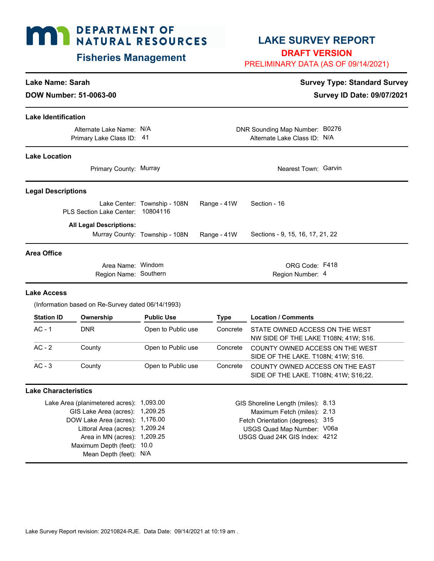# **MAN DEPARTMENT OF NATURAL RESOURCES**

## **Fisheries Management Fisheries Management PRELIMINARY DATA (AS OF 09/14/2021)**

### **LAKE SURVEY REPORT**

### Lake Name: Sarah **Survey Type: Standard Survey Type: Standard Survey**

**DOW Number: 51-0063-00 Survey ID Date: 09/07/2021** 

### **Lake Identification**

Alternate Lake Name: N/A **DNR Sounding Map Number: B0276** Primary Lake Class ID: 41 Alternate Lake Class ID: N/A

### **Lake Location**

Primary County: Murray Nearest Town: Garvin

### **Legal Descriptions**

Lake Center: Township - 108N Range - 41W Section - 16 PLS Section Lake Center: 10804116

**All Legal Descriptions:** 

Murray County: Township - 108N Range - 41W Sections - 9, 15, 16, 17, 21, 22

### **Area Office**

Area Name: Windom **Canadian Communist Communist Communist Communist Communist Communist Communist Communist Communist Communist Communist Communist Communist Communist Communist Communist Communist Communist Communist Comm** Region Name: Southern Region Number: 4

### **Lake Access**

(Information based on Re-Survey dated 06/14/1993)

| <b>Station ID</b> | Ownership  | <b>Public Use</b>  | Type     | <b>Location / Comments</b>            |
|-------------------|------------|--------------------|----------|---------------------------------------|
| $AC - 1$          | <b>DNR</b> | Open to Public use | Concrete | STATE OWNED ACCESS ON THE WEST        |
|                   |            |                    |          | NW SIDE OF THE LAKE T108N; 41W; S16.  |
| $AC - 2$          | County     | Open to Public use | Concrete | COUNTY OWNED ACCESS ON THE WEST       |
|                   |            |                    |          | SIDE OF THE LAKE. T108N; 41W; S16.    |
| $AC - 3$          | County     | Open to Public use | Concrete | COUNTY OWNED ACCESS ON THE EAST       |
|                   |            |                    |          | SIDE OF THE LAKE. T108N; 41W; S16;22. |

#### **Lake Characteristics**

Lake Area (planimetered acres): [1,093.00](https://1,093.00)  GIS Lake Area (acres): [1,209.25](https://1,209.25)  DOW Lake Area (acres): [1,176.00](https://1,176.00)  Littoral Area (acres): [1,209.24](https://1,209.24)  Area in MN (acres): [1,209.25](https://1,209.25)  Maximum Depth (feet): 10.0 Mean Depth (feet): N/A

GIS Shoreline Length (miles): 8.13 Maximum Fetch (miles): 2.13 Fetch Orientation (degrees): 315 USGS Quad Map Number: V06a USGS Quad 24K GIS Index: 4212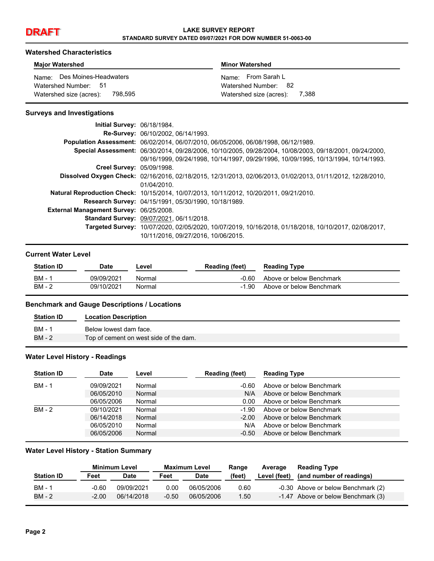### **DRAFT DRAFT LAKE SURVEY REPORT STANDARD SURVEY DATED 09/07/2021 FOR DOW NUMBER 51-0063-00**

### **Watershed Characteristics**

| Major Watershed             | <b>Minor Watershed</b>  |  |  |  |
|-----------------------------|-------------------------|--|--|--|
| Name: Des Moines-Headwaters | Name: From Sarah L      |  |  |  |
| Watershed Number: 51        | Watershed Number: 82    |  |  |  |
| 798.595                     | 7.388                   |  |  |  |
| Watershed size (acres):     | Watershed size (acres): |  |  |  |

### **Surveys and Investigations**

| <b>Initial Survey: 06/18/1984.</b>      |                                                                                                             |
|-----------------------------------------|-------------------------------------------------------------------------------------------------------------|
|                                         | Re-Survey: 06/10/2002, 06/14/1993.                                                                          |
|                                         | Population Assessment: 06/02/2014, 06/07/2010, 06/05/2006, 06/08/1998, 06/12/1989.                          |
|                                         | Special Assessment: 06/30/2014, 09/28/2006, 10/10/2005, 09/28/2004, 10/08/2003, 09/18/2001, 09/24/2000,     |
|                                         | 09/16/1999, 09/24/1998, 10/14/1997, 09/29/1996, 10/09/1995, 10/13/1994, 10/14/1993.                         |
| Creel Survey: 05/09/1998.               |                                                                                                             |
|                                         | Dissolved Oxygen Check: 02/16/2016, 02/18/2015, 12/31/2013, 02/06/2013, 01/02/2013, 01/11/2012, 12/28/2010, |
|                                         | 01/04/2010.                                                                                                 |
|                                         | Natural Reproduction Check: 10/15/2014, 10/07/2013, 10/11/2012, 10/20/2011, 09/21/2010.                     |
|                                         | Research Survey: 04/15/1991, 05/30/1990, 10/18/1989.                                                        |
| External Management Survey: 06/25/2008. |                                                                                                             |
|                                         | <b>Standard Survey: 09/07/2021, 06/11/2018.</b>                                                             |
|                                         | Targeted Survey: 10/07/2020, 02/05/2020, 10/07/2019, 10/16/2018, 01/18/2018, 10/10/2017, 02/08/2017,        |
|                                         | 10/11/2016, 09/27/2016, 10/06/2015.                                                                         |

### **Current Water Level**

| <b>Station ID</b> | Date       | ∟evel  | <b>Reading (feet)</b> | <b>Reading Type</b>      |
|-------------------|------------|--------|-----------------------|--------------------------|
| BM - 1            | 09/09/2021 | Normal | -೧ ೯೧                 | Above or below Benchmark |
| BM - 2            | 09/10/2021 | Normal | -1.90                 | Above or below Benchmark |

### **Benchmark and Gauge Descriptions / Locations**

| <b>Station ID</b> | <b>Location Description</b>            |
|-------------------|----------------------------------------|
| BM - 1            | Below lowest dam face.                 |
| BM - 2            | Top of cement on west side of the dam. |
|                   |                                        |

### **Water Level History - Readings**

| <b>Station ID</b> | <b>Date</b> | Level  | <b>Reading (feet)</b> | <b>Reading Type</b>      |
|-------------------|-------------|--------|-----------------------|--------------------------|
| BM - 1            | 09/09/2021  | Normal | -0.60                 | Above or below Benchmark |
|                   | 06/05/2010  | Normal | N/A                   | Above or below Benchmark |
|                   | 06/05/2006  | Normal | 0.00                  | Above or below Benchmark |
| $BM - 2$          | 09/10/2021  | Normal | $-1.90$               | Above or below Benchmark |
|                   | 06/14/2018  | Normal | $-2.00$               | Above or below Benchmark |
|                   | 06/05/2010  | Normal | N/A                   | Above or below Benchmark |
|                   | 06/05/2006  | Normal | $-0.50$               | Above or below Benchmark |

### **Water Level History - Station Summary**

|                   |         | <b>Minimum Level</b> |         | <b>Maximum Level</b> | Range  | Average      | <b>Reading Type</b>                |
|-------------------|---------|----------------------|---------|----------------------|--------|--------------|------------------------------------|
| <b>Station ID</b> | Feet    | Date                 | Feet    | <b>Date</b>          | (feet) | Level (feet) | (and number of readings)           |
| BM - 1            | $-0.60$ | 09/09/2021           | 0.00    | 06/05/2006           | 0.60   |              | -0.30 Above or below Benchmark (2) |
| BM - 2            | $-2.00$ | 06/14/2018           | $-0.50$ | 06/05/2006           | 1.50   |              | -1.47 Above or below Benchmark (3) |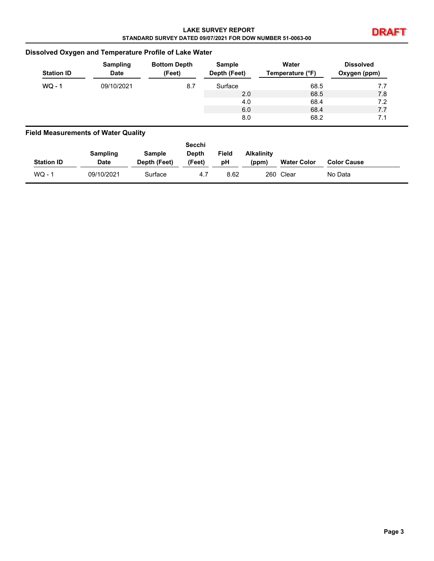## **LAKE SURVEY REPORT DRAFT STANDARD SURVEY DATED 09/07/2021 FOR DOW NUMBER 51-0063-00**

### **Dissolved Oxygen and Temperature Profile of Lake Water**

| <b>Station ID</b> | Sampling<br><b>Date</b> | <b>Bottom Depth</b><br>(Feet) | <b>Sample</b><br>Depth (Feet) | Water<br>Temperature (°F) | <b>Dissolved</b><br>Oxygen (ppm) |
|-------------------|-------------------------|-------------------------------|-------------------------------|---------------------------|----------------------------------|
| $WO - 1$          | 09/10/2021              | 8.7                           | Surface                       | 68.5                      | 7.7                              |
|                   |                         |                               | 2.0                           | 68.5                      | 7.8                              |
|                   |                         |                               | 4.0                           | 68.4                      | 7.2                              |
|                   |                         |                               | 6.0                           | 68.4                      | 7.7                              |
|                   |                         |                               | 8.0                           | 68.2                      | 7.1                              |

### **Field Measurements of Water Quality**

|                   |             |               | Secchi       |       |                   |                    |                    |
|-------------------|-------------|---------------|--------------|-------|-------------------|--------------------|--------------------|
|                   | Sampling    | <b>Sample</b> | <b>Depth</b> | Field | <b>Alkalinity</b> |                    |                    |
| <b>Station ID</b> | <b>Date</b> | Depth (Feet)  | (Feet)       | рH    | (ppm)             | <b>Water Color</b> | <b>Color Cause</b> |
| $WO - 1$          | 09/10/2021  | Surface       | 4.7          | 8.62  |                   | 260 Clear          | No Data            |

**DRAFT**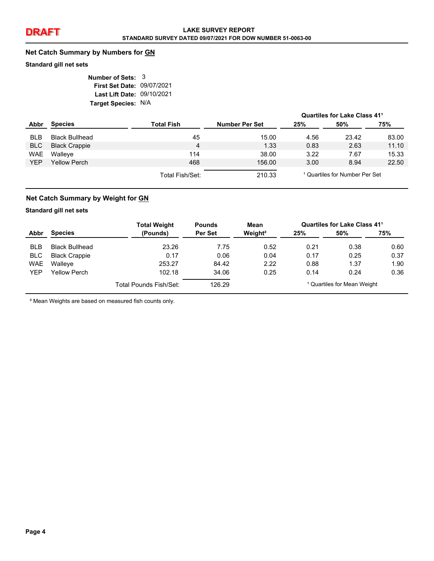### **Net Catch Summary by Numbers for GN**

### **Standard gill net sets**

**Number of Sets:** 3 **First Set Date:** 09/07/2021 **Last Lift Date:** 09/10/2021 **Target Species:** N/A

|            |                       |                   |                |      | Quartiles for Lake Class 41 <sup>1</sup>  |       |
|------------|-----------------------|-------------------|----------------|------|-------------------------------------------|-------|
| Abbr       | <b>Species</b>        | <b>Total Fish</b> | Number Per Set | 25%  | 50%                                       | 75%   |
| <b>BLB</b> | <b>Black Bullhead</b> | 45                | 15.00          | 4.56 | 23.42                                     | 83.00 |
| BLC        | <b>Black Crappie</b>  | 4                 | 1.33           | 0.83 | 2.63                                      | 11.10 |
| WAE        | Walleye               | 114               | 38.00          | 3.22 | 7.67                                      | 15.33 |
| <b>YEP</b> | <b>Yellow Perch</b>   | 468               | 156.00         | 3.00 | 8.94                                      | 22.50 |
|            |                       | Total Fish/Set:   | 210.33         |      | <sup>1</sup> Quartiles for Number Per Set |       |

### **Net Catch Summary by Weight for GN**

### **Standard gill net sets**

|            |                       | <b>Total Weight</b>    | <b>Pounds</b> | Mean                |      | Quartiles for Lake Class 41 <sup>1</sup> |      |
|------------|-----------------------|------------------------|---------------|---------------------|------|------------------------------------------|------|
| Abbr       | <b>Species</b>        | (Pounds)               | Per Set       | Weight <sup>2</sup> | 25%  | 50%                                      | 75%  |
| <b>BLB</b> | <b>Black Bullhead</b> | 23.26                  | 7.75          | 0.52                | 0.21 | 0.38                                     | 0.60 |
| <b>BLC</b> | <b>Black Crappie</b>  | 0.17                   | 0.06          | 0.04                | 0.17 | 0.25                                     | 0.37 |
| WAE        | Walleve               | 253.27                 | 84.42         | 2.22                | 0.88 | 1.37                                     | 1.90 |
| YEP        | <b>Yellow Perch</b>   | 102.18                 | 34.06         | 0.25                | 0.14 | 0.24                                     | 0.36 |
|            |                       | Total Pounds Fish/Set: | 126.29        |                     |      | <sup>1</sup> Quartiles for Mean Weight   |      |

² Mean Weights are based on measured fish counts only.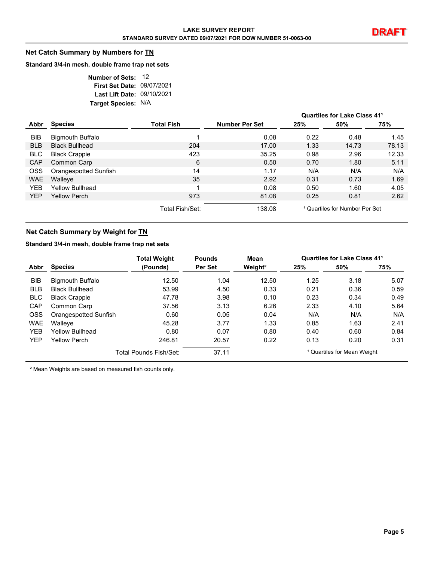### **Net Catch Summary by Numbers for TN**

### **Standard 3/4-in mesh, double frame trap net sets**

| Number of Sets:            | -12 |
|----------------------------|-----|
| First Set Date: 09/07/2021 |     |
| Last Lift Date: 09/10/2021 |     |
| Target Species: N/A        |     |

|            |                         |                   |                       |      | Quartiles for Lake Class 41 <sup>1</sup>  |       |  |
|------------|-------------------------|-------------------|-----------------------|------|-------------------------------------------|-------|--|
| Abbr       | <b>Species</b>          | <b>Total Fish</b> | <b>Number Per Set</b> | 25%  | 50%                                       | 75%   |  |
| <b>BIB</b> | <b>Bigmouth Buffalo</b> |                   | 0.08                  | 0.22 | 0.48                                      | 1.45  |  |
| <b>BLB</b> | <b>Black Bullhead</b>   | 204               | 17.00                 | 1.33 | 14.73                                     | 78.13 |  |
| <b>BLC</b> | <b>Black Crappie</b>    | 423               | 35.25                 | 0.98 | 2.96                                      | 12.33 |  |
| <b>CAP</b> | Common Carp             | 6                 | 0.50                  | 0.70 | 1.80                                      | 5.11  |  |
| <b>OSS</b> | Orangespotted Sunfish   | 14                | 1.17                  | N/A  | N/A                                       | N/A   |  |
| <b>WAE</b> | Walleye                 | 35                | 2.92                  | 0.31 | 0.73                                      | 1.69  |  |
| YEB.       | Yellow Bullhead         |                   | 0.08                  | 0.50 | 1.60                                      | 4.05  |  |
| <b>YEP</b> | Yellow Perch            | 973               | 81.08                 | 0.25 | 0.81                                      | 2.62  |  |
|            |                         | Total Fish/Set:   | 138.08                |      | <sup>1</sup> Quartiles for Number Per Set |       |  |

### **Net Catch Summary by Weight for TN**

### **Standard 3/4-in mesh, double frame trap net sets**

|            |                        | <b>Total Weight</b>    | <b>Pounds</b> | Mean                | Quartiles for Lake Class 411           |      |      |
|------------|------------------------|------------------------|---------------|---------------------|----------------------------------------|------|------|
| Abbr       | <b>Species</b>         | (Pounds)               | Per Set       | Weight <sup>2</sup> | 25%                                    | 50%  | 75%  |
| BIB        | Bigmouth Buffalo       | 12.50                  | 1.04          | 12.50               | 1.25                                   | 3.18 | 5.07 |
| <b>BLB</b> | <b>Black Bullhead</b>  | 53.99                  | 4.50          | 0.33                | 0.21                                   | 0.36 | 0.59 |
| <b>BLC</b> | <b>Black Crappie</b>   | 47.78                  | 3.98          | 0.10                | 0.23                                   | 0.34 | 0.49 |
| <b>CAP</b> | Common Carp            | 37.56                  | 3.13          | 6.26                | 2.33                                   | 4.10 | 5.64 |
| <b>OSS</b> | Orangespotted Sunfish  | 0.60                   | 0.05          | 0.04                | N/A                                    | N/A  | N/A  |
| <b>WAE</b> | Walleve                | 45.28                  | 3.77          | 1.33                | 0.85                                   | 1.63 | 2.41 |
| <b>YEB</b> | <b>Yellow Bullhead</b> | 0.80                   | 0.07          | 0.80                | 0.40                                   | 0.60 | 0.84 |
| <b>YEP</b> | <b>Yellow Perch</b>    | 246.81                 | 20.57         | 0.22                | 0.13                                   | 0.20 | 0.31 |
|            |                        | Total Pounds Fish/Set: | 37.11         |                     | <sup>1</sup> Quartiles for Mean Weight |      |      |

² Mean Weights are based on measured fish counts only.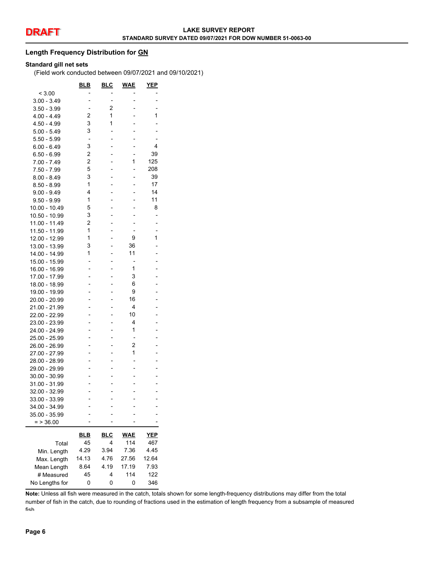### **Length Frequency Distribution for GN**

### **Standard gill net sets**

(Field work conducted between 09/07/2021 and 09/10/2021)

| < 3.00<br>$3.00 - 3.49$<br>2<br>$3.50 - 3.99$<br>$\overline{c}$<br>1<br>1<br>4.00 - 4.49<br>3<br>1<br>4.50 - 4.99<br>3<br>5.00 - 5.49<br>$5.50 - 5.99$<br>-<br>3<br>4<br>$6.00 - 6.49$<br>$\overline{c}$<br>39<br>$6.50 - 6.99$<br>$\overline{c}$<br>125<br>1<br>$7.00 - 7.49$<br>5<br>208<br>7.50 - 7.99<br>3<br>39<br>$8.00 - 8.49$<br>1<br>17<br>$8.50 - 8.99$<br>4<br>14<br>9.00 - 9.49<br>1<br>11<br>9.50 - 9.99<br>5<br>8<br>10.00 - 10.49<br>3<br>10.50 - 10.99<br>-<br>11.00 - 11.49<br>2<br>1<br>11.50 - 11.99<br>1<br>9<br>1<br>12.00 - 12.99<br>3<br>36<br>13.00 - 13.99<br>1<br>11<br>14.00 - 14.99<br>15.00 - 15.99<br>۰<br>1<br>16.00 - 16.99<br>3<br>17.00 - 17.99<br>6<br>18.00 - 18.99<br>9<br>19.00 - 19.99<br>16<br>20.00 - 20.99<br>4<br>21.00 - 21.99<br>10<br>22.00 - 22.99<br>4<br>23.00 - 23.99<br>1<br>24.00 - 24.99<br>25.00 - 25.99<br>$\overline{a}$<br>2<br>26.00 - 26.99<br>1<br>27.00 - 27.99<br>28.00 - 28.99<br>29.00 - 29.99<br>30.00 - 30.99<br>31.00 - 31.99<br>32.00 - 32.99<br>33.00 - 33.99<br>34.00 - 34.99<br>35.00 - 35.99<br>$=$ > 36.00<br>BLB<br>BLC<br><u>WAE</u><br>YEP<br>45<br>4<br>114<br>467<br>Total<br>4.29<br>7.36<br>4.45<br>3.94<br>Min. Length<br>14.13<br>4.76<br>27.56<br>12.64<br>Max. Length<br>17.19<br>8.64<br>4.19<br>7.93<br>Mean Length<br>45<br>4<br>114<br>122<br># Measured |                | <b>BLB</b> | <u>BLC</u> | <b>WAE</b> | YEP |
|--------------------------------------------------------------------------------------------------------------------------------------------------------------------------------------------------------------------------------------------------------------------------------------------------------------------------------------------------------------------------------------------------------------------------------------------------------------------------------------------------------------------------------------------------------------------------------------------------------------------------------------------------------------------------------------------------------------------------------------------------------------------------------------------------------------------------------------------------------------------------------------------------------------------------------------------------------------------------------------------------------------------------------------------------------------------------------------------------------------------------------------------------------------------------------------------------------------------------------------------------------------------------------------------------------------------------------------------------|----------------|------------|------------|------------|-----|
|                                                                                                                                                                                                                                                                                                                                                                                                                                                                                                                                                                                                                                                                                                                                                                                                                                                                                                                                                                                                                                                                                                                                                                                                                                                                                                                                                  |                |            |            |            |     |
|                                                                                                                                                                                                                                                                                                                                                                                                                                                                                                                                                                                                                                                                                                                                                                                                                                                                                                                                                                                                                                                                                                                                                                                                                                                                                                                                                  |                |            |            |            |     |
|                                                                                                                                                                                                                                                                                                                                                                                                                                                                                                                                                                                                                                                                                                                                                                                                                                                                                                                                                                                                                                                                                                                                                                                                                                                                                                                                                  |                |            |            |            |     |
|                                                                                                                                                                                                                                                                                                                                                                                                                                                                                                                                                                                                                                                                                                                                                                                                                                                                                                                                                                                                                                                                                                                                                                                                                                                                                                                                                  |                |            |            |            |     |
|                                                                                                                                                                                                                                                                                                                                                                                                                                                                                                                                                                                                                                                                                                                                                                                                                                                                                                                                                                                                                                                                                                                                                                                                                                                                                                                                                  |                |            |            |            |     |
|                                                                                                                                                                                                                                                                                                                                                                                                                                                                                                                                                                                                                                                                                                                                                                                                                                                                                                                                                                                                                                                                                                                                                                                                                                                                                                                                                  |                |            |            |            |     |
|                                                                                                                                                                                                                                                                                                                                                                                                                                                                                                                                                                                                                                                                                                                                                                                                                                                                                                                                                                                                                                                                                                                                                                                                                                                                                                                                                  |                |            |            |            |     |
|                                                                                                                                                                                                                                                                                                                                                                                                                                                                                                                                                                                                                                                                                                                                                                                                                                                                                                                                                                                                                                                                                                                                                                                                                                                                                                                                                  |                |            |            |            |     |
|                                                                                                                                                                                                                                                                                                                                                                                                                                                                                                                                                                                                                                                                                                                                                                                                                                                                                                                                                                                                                                                                                                                                                                                                                                                                                                                                                  |                |            |            |            |     |
|                                                                                                                                                                                                                                                                                                                                                                                                                                                                                                                                                                                                                                                                                                                                                                                                                                                                                                                                                                                                                                                                                                                                                                                                                                                                                                                                                  |                |            |            |            |     |
|                                                                                                                                                                                                                                                                                                                                                                                                                                                                                                                                                                                                                                                                                                                                                                                                                                                                                                                                                                                                                                                                                                                                                                                                                                                                                                                                                  |                |            |            |            |     |
|                                                                                                                                                                                                                                                                                                                                                                                                                                                                                                                                                                                                                                                                                                                                                                                                                                                                                                                                                                                                                                                                                                                                                                                                                                                                                                                                                  |                |            |            |            |     |
|                                                                                                                                                                                                                                                                                                                                                                                                                                                                                                                                                                                                                                                                                                                                                                                                                                                                                                                                                                                                                                                                                                                                                                                                                                                                                                                                                  |                |            |            |            |     |
|                                                                                                                                                                                                                                                                                                                                                                                                                                                                                                                                                                                                                                                                                                                                                                                                                                                                                                                                                                                                                                                                                                                                                                                                                                                                                                                                                  |                |            |            |            |     |
|                                                                                                                                                                                                                                                                                                                                                                                                                                                                                                                                                                                                                                                                                                                                                                                                                                                                                                                                                                                                                                                                                                                                                                                                                                                                                                                                                  |                |            |            |            |     |
|                                                                                                                                                                                                                                                                                                                                                                                                                                                                                                                                                                                                                                                                                                                                                                                                                                                                                                                                                                                                                                                                                                                                                                                                                                                                                                                                                  |                |            |            |            |     |
|                                                                                                                                                                                                                                                                                                                                                                                                                                                                                                                                                                                                                                                                                                                                                                                                                                                                                                                                                                                                                                                                                                                                                                                                                                                                                                                                                  |                |            |            |            |     |
|                                                                                                                                                                                                                                                                                                                                                                                                                                                                                                                                                                                                                                                                                                                                                                                                                                                                                                                                                                                                                                                                                                                                                                                                                                                                                                                                                  |                |            |            |            |     |
|                                                                                                                                                                                                                                                                                                                                                                                                                                                                                                                                                                                                                                                                                                                                                                                                                                                                                                                                                                                                                                                                                                                                                                                                                                                                                                                                                  |                |            |            |            |     |
|                                                                                                                                                                                                                                                                                                                                                                                                                                                                                                                                                                                                                                                                                                                                                                                                                                                                                                                                                                                                                                                                                                                                                                                                                                                                                                                                                  |                |            |            |            |     |
|                                                                                                                                                                                                                                                                                                                                                                                                                                                                                                                                                                                                                                                                                                                                                                                                                                                                                                                                                                                                                                                                                                                                                                                                                                                                                                                                                  |                |            |            |            |     |
|                                                                                                                                                                                                                                                                                                                                                                                                                                                                                                                                                                                                                                                                                                                                                                                                                                                                                                                                                                                                                                                                                                                                                                                                                                                                                                                                                  |                |            |            |            |     |
|                                                                                                                                                                                                                                                                                                                                                                                                                                                                                                                                                                                                                                                                                                                                                                                                                                                                                                                                                                                                                                                                                                                                                                                                                                                                                                                                                  |                |            |            |            |     |
|                                                                                                                                                                                                                                                                                                                                                                                                                                                                                                                                                                                                                                                                                                                                                                                                                                                                                                                                                                                                                                                                                                                                                                                                                                                                                                                                                  |                |            |            |            |     |
|                                                                                                                                                                                                                                                                                                                                                                                                                                                                                                                                                                                                                                                                                                                                                                                                                                                                                                                                                                                                                                                                                                                                                                                                                                                                                                                                                  |                |            |            |            |     |
|                                                                                                                                                                                                                                                                                                                                                                                                                                                                                                                                                                                                                                                                                                                                                                                                                                                                                                                                                                                                                                                                                                                                                                                                                                                                                                                                                  |                |            |            |            |     |
|                                                                                                                                                                                                                                                                                                                                                                                                                                                                                                                                                                                                                                                                                                                                                                                                                                                                                                                                                                                                                                                                                                                                                                                                                                                                                                                                                  |                |            |            |            |     |
|                                                                                                                                                                                                                                                                                                                                                                                                                                                                                                                                                                                                                                                                                                                                                                                                                                                                                                                                                                                                                                                                                                                                                                                                                                                                                                                                                  |                |            |            |            |     |
|                                                                                                                                                                                                                                                                                                                                                                                                                                                                                                                                                                                                                                                                                                                                                                                                                                                                                                                                                                                                                                                                                                                                                                                                                                                                                                                                                  |                |            |            |            |     |
|                                                                                                                                                                                                                                                                                                                                                                                                                                                                                                                                                                                                                                                                                                                                                                                                                                                                                                                                                                                                                                                                                                                                                                                                                                                                                                                                                  |                |            |            |            |     |
|                                                                                                                                                                                                                                                                                                                                                                                                                                                                                                                                                                                                                                                                                                                                                                                                                                                                                                                                                                                                                                                                                                                                                                                                                                                                                                                                                  |                |            |            |            |     |
|                                                                                                                                                                                                                                                                                                                                                                                                                                                                                                                                                                                                                                                                                                                                                                                                                                                                                                                                                                                                                                                                                                                                                                                                                                                                                                                                                  |                |            |            |            |     |
|                                                                                                                                                                                                                                                                                                                                                                                                                                                                                                                                                                                                                                                                                                                                                                                                                                                                                                                                                                                                                                                                                                                                                                                                                                                                                                                                                  |                |            |            |            |     |
|                                                                                                                                                                                                                                                                                                                                                                                                                                                                                                                                                                                                                                                                                                                                                                                                                                                                                                                                                                                                                                                                                                                                                                                                                                                                                                                                                  |                |            |            |            |     |
|                                                                                                                                                                                                                                                                                                                                                                                                                                                                                                                                                                                                                                                                                                                                                                                                                                                                                                                                                                                                                                                                                                                                                                                                                                                                                                                                                  |                |            |            |            |     |
|                                                                                                                                                                                                                                                                                                                                                                                                                                                                                                                                                                                                                                                                                                                                                                                                                                                                                                                                                                                                                                                                                                                                                                                                                                                                                                                                                  |                |            |            |            |     |
|                                                                                                                                                                                                                                                                                                                                                                                                                                                                                                                                                                                                                                                                                                                                                                                                                                                                                                                                                                                                                                                                                                                                                                                                                                                                                                                                                  |                |            |            |            |     |
|                                                                                                                                                                                                                                                                                                                                                                                                                                                                                                                                                                                                                                                                                                                                                                                                                                                                                                                                                                                                                                                                                                                                                                                                                                                                                                                                                  |                |            |            |            |     |
|                                                                                                                                                                                                                                                                                                                                                                                                                                                                                                                                                                                                                                                                                                                                                                                                                                                                                                                                                                                                                                                                                                                                                                                                                                                                                                                                                  |                |            |            |            |     |
|                                                                                                                                                                                                                                                                                                                                                                                                                                                                                                                                                                                                                                                                                                                                                                                                                                                                                                                                                                                                                                                                                                                                                                                                                                                                                                                                                  |                |            |            |            |     |
|                                                                                                                                                                                                                                                                                                                                                                                                                                                                                                                                                                                                                                                                                                                                                                                                                                                                                                                                                                                                                                                                                                                                                                                                                                                                                                                                                  |                |            |            |            |     |
|                                                                                                                                                                                                                                                                                                                                                                                                                                                                                                                                                                                                                                                                                                                                                                                                                                                                                                                                                                                                                                                                                                                                                                                                                                                                                                                                                  |                |            |            |            |     |
|                                                                                                                                                                                                                                                                                                                                                                                                                                                                                                                                                                                                                                                                                                                                                                                                                                                                                                                                                                                                                                                                                                                                                                                                                                                                                                                                                  |                |            |            |            |     |
|                                                                                                                                                                                                                                                                                                                                                                                                                                                                                                                                                                                                                                                                                                                                                                                                                                                                                                                                                                                                                                                                                                                                                                                                                                                                                                                                                  |                |            |            |            |     |
|                                                                                                                                                                                                                                                                                                                                                                                                                                                                                                                                                                                                                                                                                                                                                                                                                                                                                                                                                                                                                                                                                                                                                                                                                                                                                                                                                  |                |            |            |            |     |
|                                                                                                                                                                                                                                                                                                                                                                                                                                                                                                                                                                                                                                                                                                                                                                                                                                                                                                                                                                                                                                                                                                                                                                                                                                                                                                                                                  |                |            |            |            |     |
|                                                                                                                                                                                                                                                                                                                                                                                                                                                                                                                                                                                                                                                                                                                                                                                                                                                                                                                                                                                                                                                                                                                                                                                                                                                                                                                                                  |                |            |            |            |     |
|                                                                                                                                                                                                                                                                                                                                                                                                                                                                                                                                                                                                                                                                                                                                                                                                                                                                                                                                                                                                                                                                                                                                                                                                                                                                                                                                                  |                |            |            |            |     |
|                                                                                                                                                                                                                                                                                                                                                                                                                                                                                                                                                                                                                                                                                                                                                                                                                                                                                                                                                                                                                                                                                                                                                                                                                                                                                                                                                  |                |            |            |            |     |
|                                                                                                                                                                                                                                                                                                                                                                                                                                                                                                                                                                                                                                                                                                                                                                                                                                                                                                                                                                                                                                                                                                                                                                                                                                                                                                                                                  |                |            |            |            |     |
|                                                                                                                                                                                                                                                                                                                                                                                                                                                                                                                                                                                                                                                                                                                                                                                                                                                                                                                                                                                                                                                                                                                                                                                                                                                                                                                                                  |                |            |            |            |     |
|                                                                                                                                                                                                                                                                                                                                                                                                                                                                                                                                                                                                                                                                                                                                                                                                                                                                                                                                                                                                                                                                                                                                                                                                                                                                                                                                                  | No Lengths for | 0          | 0          | 0          | 346 |

**Note:** Unless all fish were measured in the catch, totals shown for some length-frequency distributions may differ from the total number of fish in the catch, due to rounding of fractions used in the estimation of length frequency from a subsample of measured fish.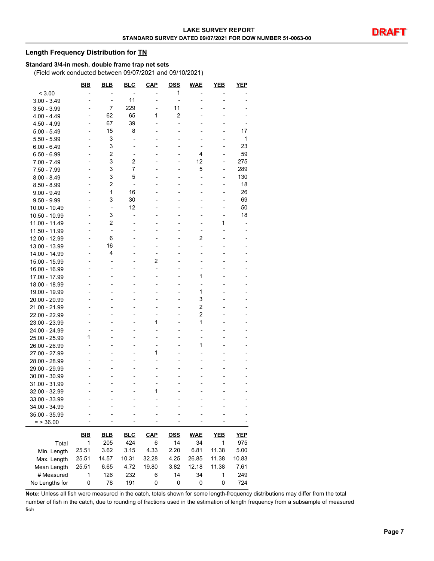### **Length Frequency Distribution for TN**

### **Standard 3/4-in mesh, double frame trap net sets**

(Field work conducted between 09/07/2021 and 09/10/2021)

|                | BIB        | BLB                      | <b>BLC</b>               | <b>CAP</b>               | <u>OSS</u> | <b>WAE</b>     | <b>YEB</b>     | <b>YEP</b> |
|----------------|------------|--------------------------|--------------------------|--------------------------|------------|----------------|----------------|------------|
| < 3.00         |            |                          |                          |                          | 1          |                |                |            |
| $3.00 - 3.49$  |            | $\overline{\phantom{a}}$ | 11                       | ÷,                       | ÷,         |                |                |            |
| $3.50 - 3.99$  |            | 7                        | 229                      | ÷,                       | 11         |                |                |            |
| 4.00 - 4.49    |            | 62                       | 65                       | 1                        | 2          |                |                |            |
| $4.50 - 4.99$  |            | 67                       | 39                       | $\overline{a}$           | L,         |                |                |            |
| $5.00 - 5.49$  |            | 15                       | 8                        |                          |            |                |                | 17         |
| $5.50 - 5.99$  |            | 3                        | $\overline{a}$           | $\overline{a}$           |            |                |                | 1          |
| $6.00 - 6.49$  |            | 3                        | $\blacksquare$           | $\blacksquare$           |            | ٠              | L,             | 23         |
| $6.50 - 6.99$  |            | $\overline{2}$           | $\overline{\phantom{a}}$ |                          |            | 4              |                | 59         |
| 7.00 - 7.49    |            | 3                        | 2                        | $\overline{a}$           |            | 12             | $\overline{a}$ | 275        |
| 7.50 - 7.99    |            | 3                        | $\overline{7}$           |                          |            | 5              |                | 289        |
| $8.00 - 8.49$  |            | 3                        | 5                        |                          |            | $\overline{a}$ | ÷,             | 130        |
| $8.50 - 8.99$  |            | 2                        | $\overline{a}$           |                          |            | ٠              | L,             | 18         |
| $9.00 - 9.49$  |            | 1                        | 16                       |                          |            |                |                | 26         |
| $9.50 - 9.99$  |            | 3                        | 30                       |                          |            |                |                | 69         |
| 10.00 - 10.49  |            | $\overline{\phantom{a}}$ | 12                       |                          |            |                |                | 50         |
| 10.50 - 10.99  |            | 3                        | $\overline{a}$           |                          |            |                | ÷,             | 18         |
| 11.00 - 11.49  |            | $\overline{2}$           | $\overline{\phantom{a}}$ | ÷                        |            | ٠              | 1              |            |
|                |            | ٠                        |                          |                          |            |                |                |            |
| 11.50 - 11.99  |            | 6                        |                          | -                        |            | 2              |                |            |
| 12.00 - 12.99  |            | 16                       |                          |                          |            |                |                |            |
| 13.00 - 13.99  |            | 4                        |                          | ÷,                       |            |                |                |            |
| 14.00 - 14.99  |            |                          |                          | 2                        |            |                |                |            |
| 15.00 - 15.99  |            | ٠                        | ٠                        |                          |            |                |                |            |
| 16.00 - 16.99  |            | $\blacksquare$           |                          | L,                       |            |                |                |            |
| 17.00 - 17.99  |            |                          |                          | -                        |            | 1              |                |            |
| 18.00 - 18.99  |            |                          |                          |                          |            |                |                |            |
| 19.00 - 19.99  |            |                          |                          | L,                       |            | 1              |                |            |
| 20.00 - 20.99  |            |                          | $\overline{\phantom{a}}$ | $\blacksquare$           |            | 3              |                |            |
| 21.00 - 21.99  |            |                          |                          | $\blacksquare$           |            | $\overline{c}$ |                |            |
| 22.00 - 22.99  |            |                          |                          | -                        |            | $\overline{2}$ |                |            |
| 23.00 - 23.99  |            |                          |                          | 1                        |            | 1              |                |            |
| 24.00 - 24.99  |            |                          |                          |                          |            | $\overline{a}$ |                |            |
| 25.00 - 25.99  | 1          |                          |                          | $\overline{\phantom{a}}$ |            | ٠              |                |            |
| 26.00 - 26.99  |            |                          |                          | L,                       |            | 1              |                |            |
| 27.00 - 27.99  |            |                          |                          | 1                        |            | $\overline{a}$ |                |            |
| 28.00 - 28.99  |            |                          |                          |                          |            |                |                |            |
| 29.00 - 29.99  |            |                          |                          |                          |            |                |                |            |
| 30.00 - 30.99  |            |                          |                          | $\overline{\phantom{a}}$ |            |                |                |            |
| 31.00 - 31.99  |            |                          |                          |                          |            |                |                |            |
| 32.00 - 32.99  |            |                          |                          | 1                        |            |                |                |            |
| 33.00 - 33.99  |            |                          |                          |                          |            |                |                |            |
| 34.00 - 34.99  |            |                          |                          |                          |            |                |                |            |
| 35.00 - 35.99  |            |                          |                          |                          |            |                |                |            |
| $=$ > 36.00    |            |                          |                          |                          |            |                |                |            |
|                | <b>BIB</b> | <b>BLB</b>               | <b>BLC</b>               | <b>CAP</b>               | <u>OSS</u> | <b>WAE</b>     | <b>YEB</b>     | <b>YEP</b> |
|                | 1          | 205                      | 424                      | 6                        | 14         | 34             | 1              | 975        |
| Total          | 25.51      | 3.62                     | 3.15                     | 4.33                     | 2.20       | 6.81           | 11.38          |            |
| Min. Length    |            |                          |                          |                          |            |                |                | 5.00       |
| Max. Length    | 25.51      | 14.57                    | 10.31                    | 32.28                    | 4.25       | 26.85          | 11.38          | 10.83      |
| Mean Length    | 25.51      | 6.65                     | 4.72                     | 19.80                    | 3.82       | 12.18          | 11.38          | 7.61       |
| # Measured     | 1          | 126                      | 232                      | 6                        | 14         | 34             | 1              | 249        |
| No Lengths for | 0          | 78                       | 191                      | 0                        | 0          | 0              | 0              | 724        |

**Note:** Unless all fish were measured in the catch, totals shown for some length-frequency distributions may differ from the total number of fish in the catch, due to rounding of fractions used in the estimation of length frequency from a subsample of measured fish.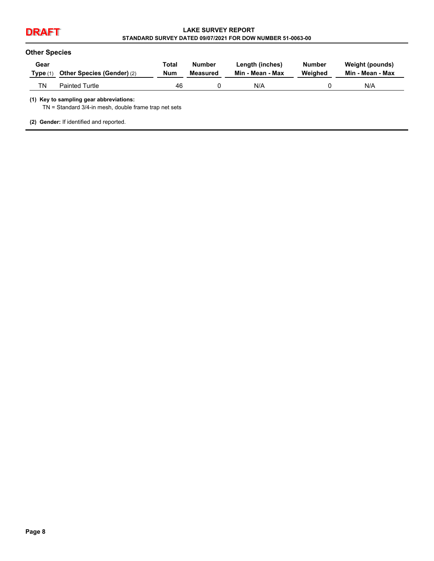**DRAFT DRAFT LAKE SURVEY REPORT STANDARD SURVEY DATED 09/07/2021 FOR DOW NUMBER 51-0063-00** 

### **Other Species**

| Gear       |                                   | Total      | Number   | Length (inches)  | <b>Number</b> | Weight (pounds)  |
|------------|-----------------------------------|------------|----------|------------------|---------------|------------------|
| Type $(1)$ | <b>Other Species (Gender) (2)</b> | <b>Num</b> | Measured | Min - Mean - Max | Weighed       | Min - Mean - Max |
| TN         | <b>Painted Turtle</b>             | 46         |          | N/A              |               | N/A              |

### **(1) Key to sampling gear abbreviations:**

TN = Standard 3/4-in mesh, double frame trap net sets

**(2) Gender:** If identified and reported.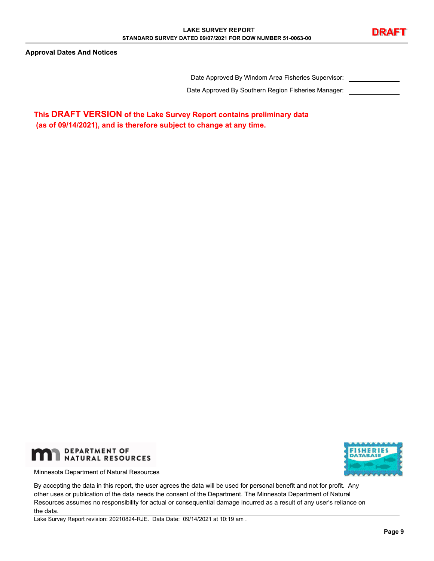**Approval Dates And Notices** 

Date Approved By Windom Area Fisheries Supervisor:

Date Approved By Southern Region Fisheries Manager:

**This DRAFT VERSION of the Lake Survey Report contains preliminary data (as of 09/14/2021), and is therefore subject to change at any time.** 



Minnesota Department of Natural Resources

By accepting the data in this report, the user agrees the data will be used for personal benefit and not for profit. Any other uses or publication of the data needs the consent of the Department. The Minnesota Department of Natural Resources assumes no responsibility for actual or consequential damage incurred as a result of any user's reliance on the data.

Lake Survey Report revision: 20210824-RJE. Data Date: 09/14/2021 at 10:19 am .